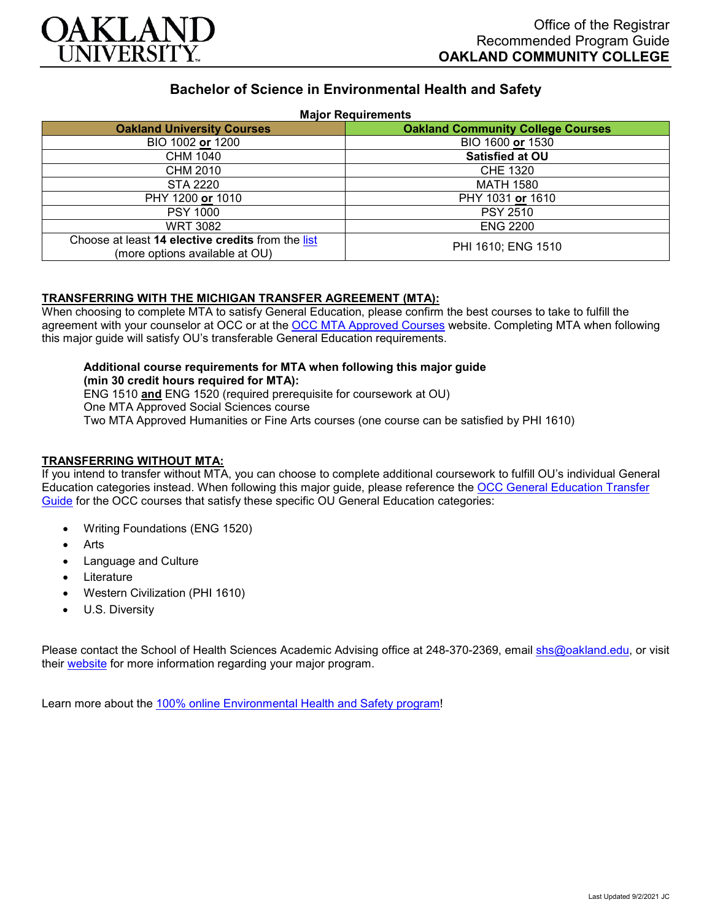

# **Bachelor of Science in Environmental Health and Safety**

### **Major Requirements**

| <b>Oakland University Courses</b>                                                   | <b>Oakland Community College Courses</b> |
|-------------------------------------------------------------------------------------|------------------------------------------|
| BIO 1002 or 1200                                                                    | BIO 1600 or 1530                         |
| CHM 1040                                                                            | <b>Satisfied at OU</b>                   |
| CHM 2010                                                                            | <b>CHE 1320</b>                          |
| STA 2220                                                                            | <b>MATH 1580</b>                         |
| PHY 1200 or 1010                                                                    | PHY 1031 or 1610                         |
| <b>PSY 1000</b>                                                                     | <b>PSY 2510</b>                          |
| <b>WRT 3082</b>                                                                     | <b>ENG 2200</b>                          |
| Choose at least 14 elective credits from the list<br>(more options available at OU) | PHI 1610; ENG 1510                       |

### **TRANSFERRING WITH THE MICHIGAN TRANSFER AGREEMENT (MTA):**

When choosing to complete MTA to satisfy General Education, please confirm the best courses to take to fulfill the agreement with your counselor at OCC or at the [OCC MTA Approved Courses](http://catalog.oaklandcc.edu/graduation-requirements/michigan-transfer-agreement/) website. Completing MTA when following this major guide will satisfy OU's transferable General Education requirements.

#### **Additional course requirements for MTA when following this major guide (min 30 credit hours required for MTA):**

ENG 1510 **and** ENG 1520 (required prerequisite for coursework at OU) One MTA Approved Social Sciences course Two MTA Approved Humanities or Fine Arts courses (one course can be satisfied by PHI 1610)

# **TRANSFERRING WITHOUT MTA:**

If you intend to transfer without MTA, you can choose to complete additional coursework to fulfill OU's individual General Education categories instead. When following this major guide, please reference the [OCC General Education Transfer](https://www.oakland.edu/Assets/Oakland/program-guides/oakland-community-college/university-general-education-requirements/OCC%20Gen%20Ed.pdf)  [Guide](https://www.oakland.edu/Assets/Oakland/program-guides/oakland-community-college/university-general-education-requirements/OCC%20Gen%20Ed.pdf) for the OCC courses that satisfy these specific OU General Education categories:

- Writing Foundations (ENG 1520)
- **Arts**
- Language and Culture
- **Literature**
- Western Civilization (PHI 1610)
- U.S. Diversity

Please contact the School of Health Sciences Academic Advising office at 248-370-2369, email [shs@oakland.edu,](mailto:shs@oakland.edu) or visit their [website](http://www.oakland.edu/shs/advising) for more information regarding your major program.

Learn more about the [100% online Environmental Health and Safety program!](https://www.oakland.edu/online/undergraduate-degree-programs/ehs/)